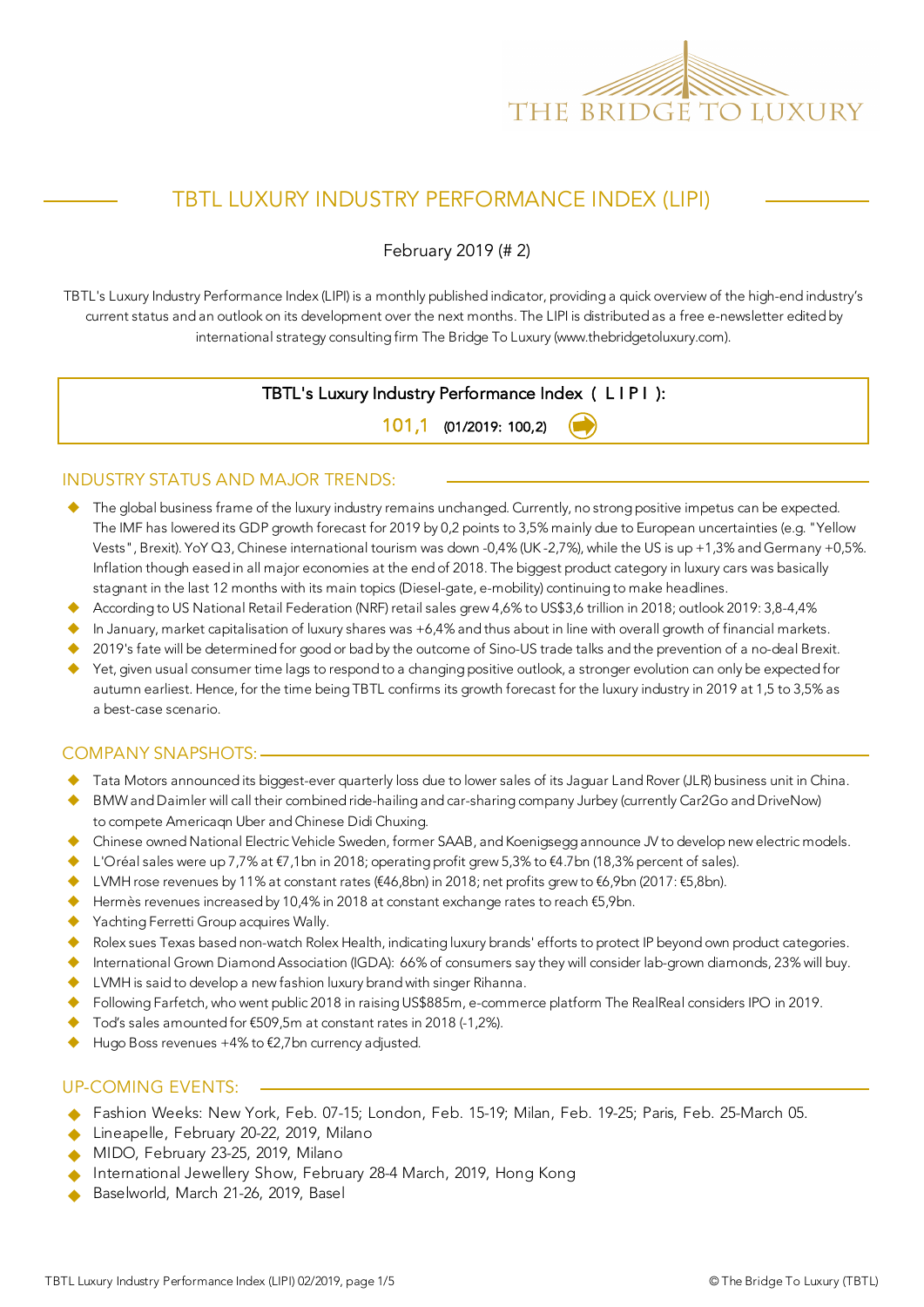

## TBTL LUXURY INDUSTRY PERFORMANCE INDEX (LIPI)

February 2019 (# 2)

TBTL's Luxury Industry Performance Index (LIPI) is a monthly published indicator, providing a quick overview of the high-end industry's current status and an outlook on its development over the next months. The LIPI is distributed as a free e-newsletter edited by international strategy consulting firm The Bridge To Luxury (www.thebridgetoluxury.com).

### TBTL's Luxury Industry Performance Index ( L I P I ):

101,1 (01/2019: 100,2)

#### INDUSTRY STATUS AND MAJOR TRENDS:

- ◆ The global business frame of the luxury industry remains unchanged. Currently, no strong positive impetus can be expected. The IMF has lowered its GDP growth forecast for 2019 by 0,2 points to 3,5% mainly due to European uncertainties (e.g. "Yellow Vests", Brexit). YoY Q3, Chinese international tourism was down -0,4% (UK -2,7%), while the US is up +1,3% and Germany +0,5%. Inflation though eased in all major economies at the end of 2018. The biggest product category in luxury cars was basically stagnant in the last 12 months with its main topics (Diesel-gate, e-mobility) continuing to make headlines.
- According to US National Retail Federation (NRF) retail sales grew 4,6% to US\$3,6 trillion in 2018; outlook 2019: 3,8-4,4%
- $\blacklozenge$  In January, market capitalisation of luxury shares was +6,4% and thus about in line with overall growth of financial markets.
- u 2019's fate will be determined for good or bad by the outcome of Sino-US trade talks and the prevention of a no-deal Brexit.
- u Yet, given usual consumer time lags to respond to a changing positive outlook, a stronger evolution can only be expected for autumn earliest. Hence, for the time being TBTL confirms its growth forecast for the luxury industry in 2019 at 1,5 to 3,5% as a best-case scenario.

#### COMPANY SNAPSHOTS:

- Tata Motors announced its biggest-ever quarterly loss due to lower sales of its Jaguar Land Rover (JLR) business unit in China.
- BMW and Daimler will call their combined ride-hailing and car-sharing company Jurbey (currently Car2Go and DriveNow) to compete Americaqn Uber and Chinese Didi Chuxing.
- u Chinese owned National Electric Vehicle Sweden, former SAAB, and Koenigsegg announce JV to develop new electric models.
- L'Oréal sales were up 7,7% at €7,1bn in 2018; operating profit grew 5,3% to €4.7bn (18,3% percent of sales).
- LVMH rose revenues by 11% at constant rates (€46,8bn) in 2018; net profits grew to €6,9bn (2017: €5,8bn).
- u Hermès revenues increased by 10,4% in 2018 at constant exchange rates to reach €5,9bn.
- ◆ Yachting Ferretti Group acquires Wally.
- Rolex sues Texas based non-watch Rolex Health, indicating luxury brands' efforts to protect IP beyond own product categories.
- ◆ International Grown Diamond Association (IGDA): 66% of consumers say they will consider lab-grown diamonds, 23% will buy.
- ◆ LVMH is said to develop a new fashion luxury brand with singer Rihanna.
- Following Farfetch, who went public 2018 in raising US\$885m, e-commerce platform The RealReal considers IPO in 2019.
- Tod's sales amounted for  $€509,5m$  at constant rates in 2018 (-1,2%).
- Hugo Boss revenues +4% to €2,7bn currency adjusted.

#### UP-COMING EVENTS:

- Fashion Weeks: New York, Feb. 07-15; London, Feb. 15-19; Milan, Feb. 19-25; Paris, Feb. 25-March 05.
- Lineapelle, February 20-22, 2019, Milano
- MIDO, February 23-25, 2019, Milano
- International Jewellery Show, February 28-4 March, 2019, Hong Kong
- Baselworld, March 21-26, 2019, Basel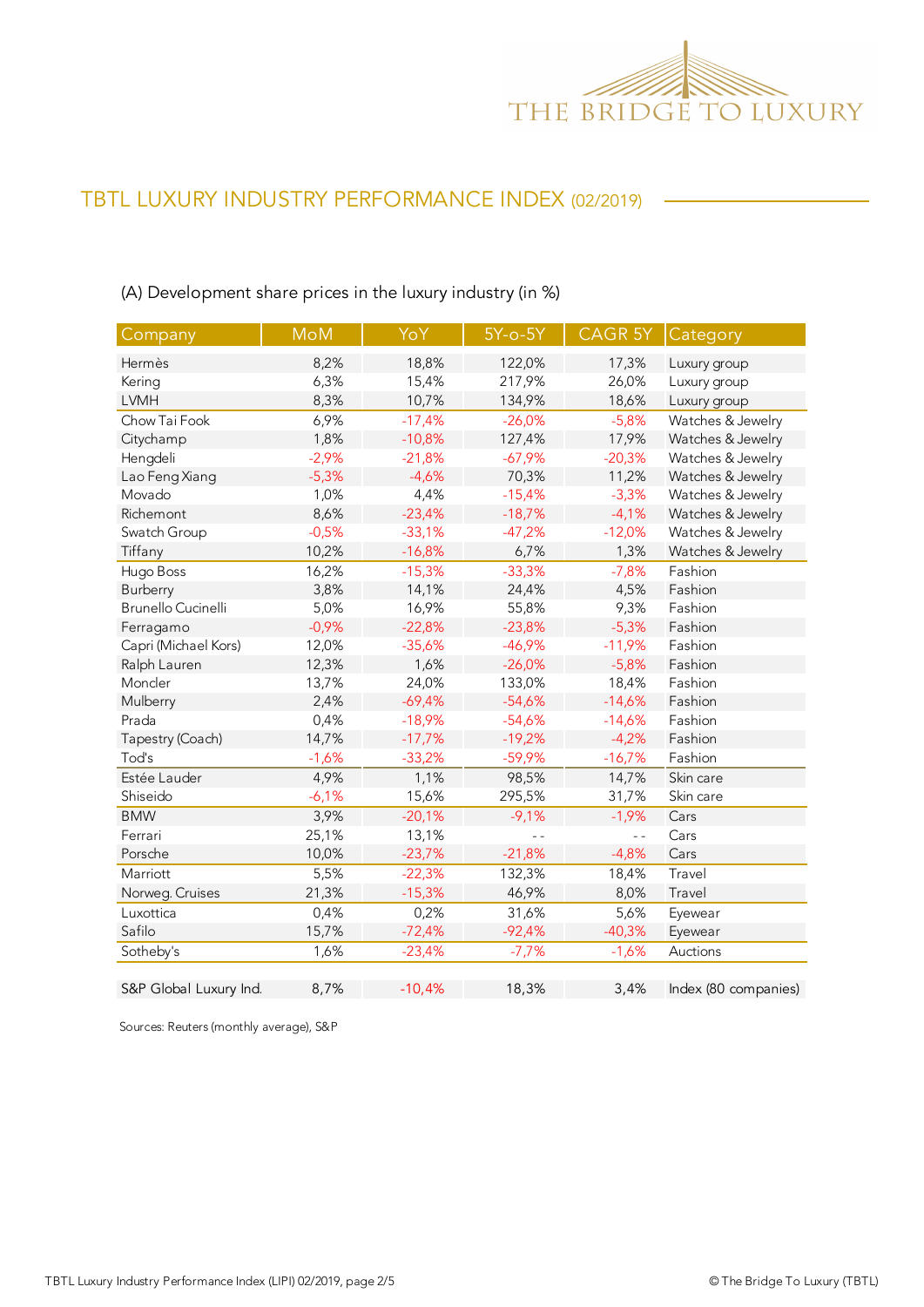

## (A) Development share prices in the luxury industry (in %)

| Company                   | <b>MoM</b> | YoY      | 5Y-o-5Y  | CAGR <sub>5Y</sub> | Category             |
|---------------------------|------------|----------|----------|--------------------|----------------------|
| Hermès                    | 8,2%       | 18,8%    | 122,0%   | 17,3%              | Luxury group         |
| Kering                    | 6,3%       | 15,4%    | 217,9%   | 26,0%              | Luxury group         |
| <b>LVMH</b>               | 8,3%       | 10,7%    | 134,9%   | 18,6%              | Luxury group         |
| Chow Tai Fook             | 6,9%       | $-17,4%$ | $-26,0%$ | $-5,8%$            | Watches & Jewelry    |
| Citychamp                 | 1,8%       | $-10,8%$ | 127,4%   | 17,9%              | Watches & Jewelry    |
| Hengdeli                  | $-2,9%$    | $-21,8%$ | $-67,9%$ | $-20,3%$           | Watches & Jewelry    |
| Lao Feng Xiang            | $-5,3%$    | $-4,6%$  | 70,3%    | 11,2%              | Watches & Jewelry    |
| Movado                    | 1,0%       | 4,4%     | $-15,4%$ | $-3,3%$            | Watches & Jewelry    |
| Richemont                 | 8,6%       | $-23,4%$ | $-18,7%$ | $-4,1%$            | Watches & Jewelry    |
| Swatch Group              | $-0,5%$    | $-33,1%$ | $-47,2%$ | $-12,0%$           | Watches & Jewelry    |
| Tiffany                   | 10,2%      | $-16,8%$ | 6,7%     | 1,3%               | Watches & Jewelry    |
| Hugo Boss                 | 16,2%      | $-15,3%$ | $-33,3%$ | $-7,8%$            | Fashion              |
| Burberry                  | 3,8%       | 14,1%    | 24,4%    | 4,5%               | Fashion              |
| <b>Brunello Cucinelli</b> | 5,0%       | 16,9%    | 55,8%    | 9,3%               | Fashion              |
| Ferragamo                 | $-0,9%$    | $-22,8%$ | $-23,8%$ | $-5,3%$            | Fashion              |
| Capri (Michael Kors)      | 12,0%      | $-35,6%$ | $-46,9%$ | $-11,9%$           | Fashion              |
| Ralph Lauren              | 12,3%      | 1,6%     | $-26,0%$ | $-5,8%$            | Fashion              |
| Moncler                   | 13,7%      | 24,0%    | 133,0%   | 18,4%              | Fashion              |
| Mulberry                  | 2,4%       | $-69,4%$ | $-54,6%$ | $-14,6%$           | Fashion              |
| Prada                     | 0,4%       | $-18,9%$ | $-54,6%$ | $-14,6%$           | Fashion              |
| Tapestry (Coach)          | 14,7%      | $-17,7%$ | $-19,2%$ | $-4,2%$            | Fashion              |
| Tod's                     | $-1,6%$    | $-33,2%$ | $-59,9%$ | $-16,7%$           | Fashion              |
| Estée Lauder              | 4,9%       | 1,1%     | 98,5%    | 14,7%              | Skin care            |
| Shiseido                  | $-6,1%$    | 15,6%    | 295,5%   | 31,7%              | Skin care            |
| <b>BMW</b>                | 3,9%       | $-20,1%$ | $-9,1%$  | $-1,9%$            | Cars                 |
| Ferrari                   | 25,1%      | 13,1%    | $ -$     | $\overline{a}$     | Cars                 |
| Porsche                   | 10,0%      | $-23,7%$ | $-21,8%$ | $-4,8%$            | Cars                 |
| Marriott                  | 5,5%       | $-22,3%$ | 132,3%   | 18,4%              | Travel               |
| Norweg. Cruises           | 21,3%      | $-15,3%$ | 46,9%    | 8,0%               | Travel               |
| Luxottica                 | 0,4%       | 0,2%     | 31,6%    | 5,6%               | Eyewear              |
| Safilo                    | 15,7%      | $-72,4%$ | $-92,4%$ | $-40,3%$           | Eyewear              |
| Sotheby's                 | 1,6%       | $-23,4%$ | $-7,7%$  | $-1,6%$            | Auctions             |
| S&P Global Luxury Ind.    | 8,7%       | $-10,4%$ | 18,3%    | 3,4%               | Index (80 companies) |

Sources: Reuters (monthly average), S&P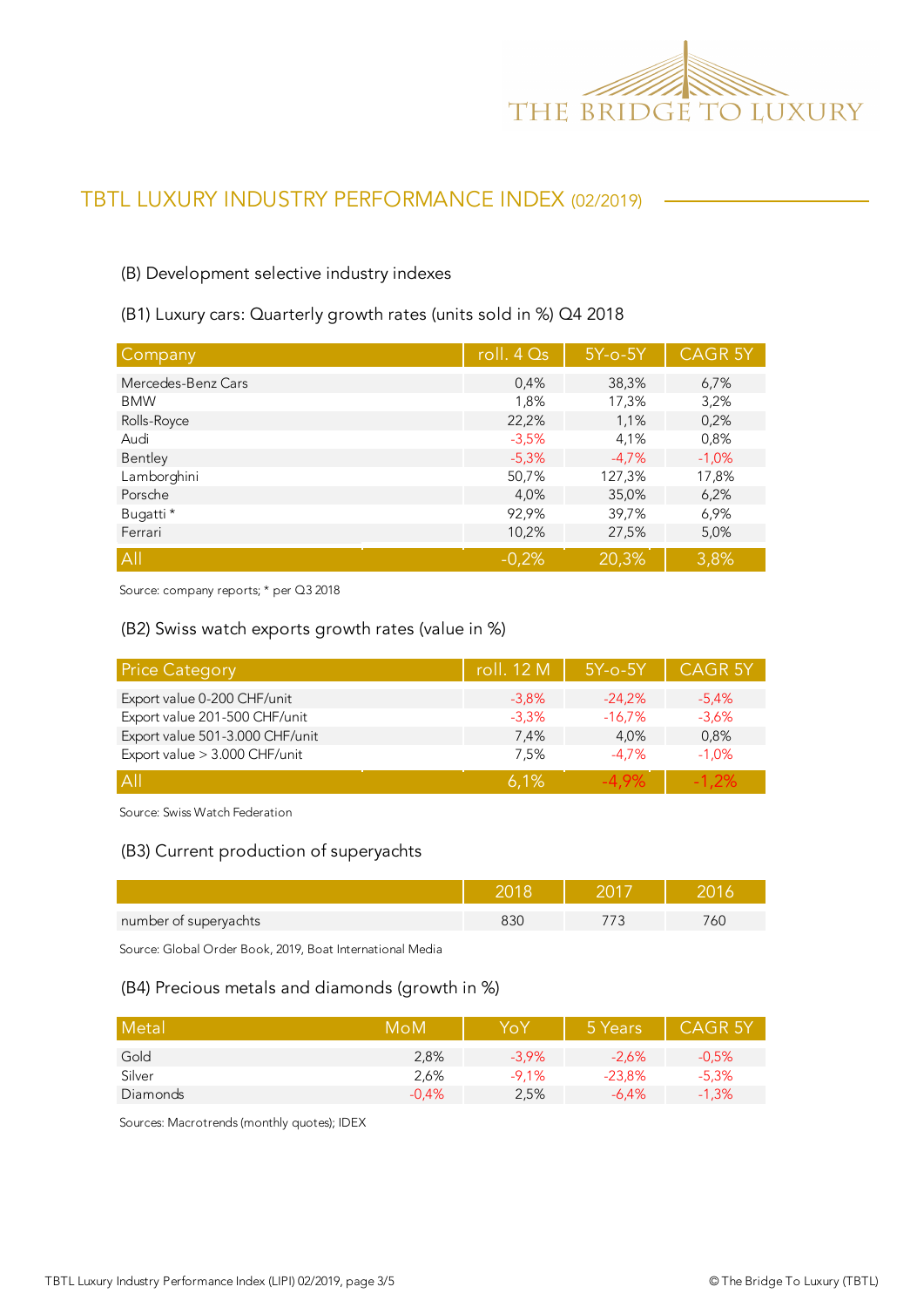

#### (B) Development selective industry indexes

#### (B1) Luxury cars: Quarterly growth rates (units sold in %) Q4 2018

| Company            | roll. $4Qs$ | $5Y$ -o- $5Y$ | <b>CAGR 5Y</b> |
|--------------------|-------------|---------------|----------------|
| Mercedes-Benz Cars | 0,4%        | 38,3%         | 6,7%           |
| <b>BMW</b>         | 1,8%        | 17,3%         | 3,2%           |
| Rolls-Royce        | 22,2%       | 1,1%          | 0,2%           |
| Audi               | $-3,5%$     | 4,1%          | 0,8%           |
| Bentley            | $-5,3%$     | $-4.7%$       | $-1,0%$        |
| Lamborghini        | 50,7%       | 127,3%        | 17,8%          |
| Porsche            | 4,0%        | 35,0%         | 6,2%           |
| Bugatti *          | 92,9%       | 39,7%         | 6,9%           |
| Ferrari            | 10,2%       | 27,5%         | 5,0%           |
| All                | $-0.2%$     | 20,3%         | 3,8%           |

Source: company reports; \* per Q3 2018

#### (B2) Swiss watch exports growth rates (value in %)

| <b>Price Category</b>           | roll. 12 M | $5Y$ -o- $5Y$ | <b>CAGR 5Y</b> |
|---------------------------------|------------|---------------|----------------|
| Export value 0-200 CHF/unit     | $-3.8\%$   | $-24.2%$      | $-5.4\%$       |
| Export value 201-500 CHF/unit   | $-3.3%$    | $-16,7%$      | $-3.6%$        |
| Export value 501-3.000 CHF/unit | 7.4%       | 4.0%          | 0,8%           |
| Export value > 3.000 CHF/unit   | 7,5%       | $-4.7\%$      | $-1.0%$        |
| A                               | 6.1%       | $-4.9\%$      | $-1.2\%$       |

Source: Swiss Watch Federation

#### (B3) Current production of superyachts

| number of superyachts |  | 6L |
|-----------------------|--|----|

Source: Global Order Book, 2019, Boat International Media

#### (B4) Precious metals and diamonds (growth in %)

| Metal    | MoM     | YoY      | 5 Years  | <b>CAGR 5Y</b> |
|----------|---------|----------|----------|----------------|
| Gold     | 2,8%    | $-3.9\%$ | $-2.6%$  | $-0.5%$        |
| Silver   | 2,6%    | $-9.1%$  | $-23.8%$ | $-5.3%$        |
| Diamonds | $-0.4%$ | 2,5%     | $-6.4\%$ | $-1,3%$        |

Sources: Macrotrends (monthly quotes); IDEX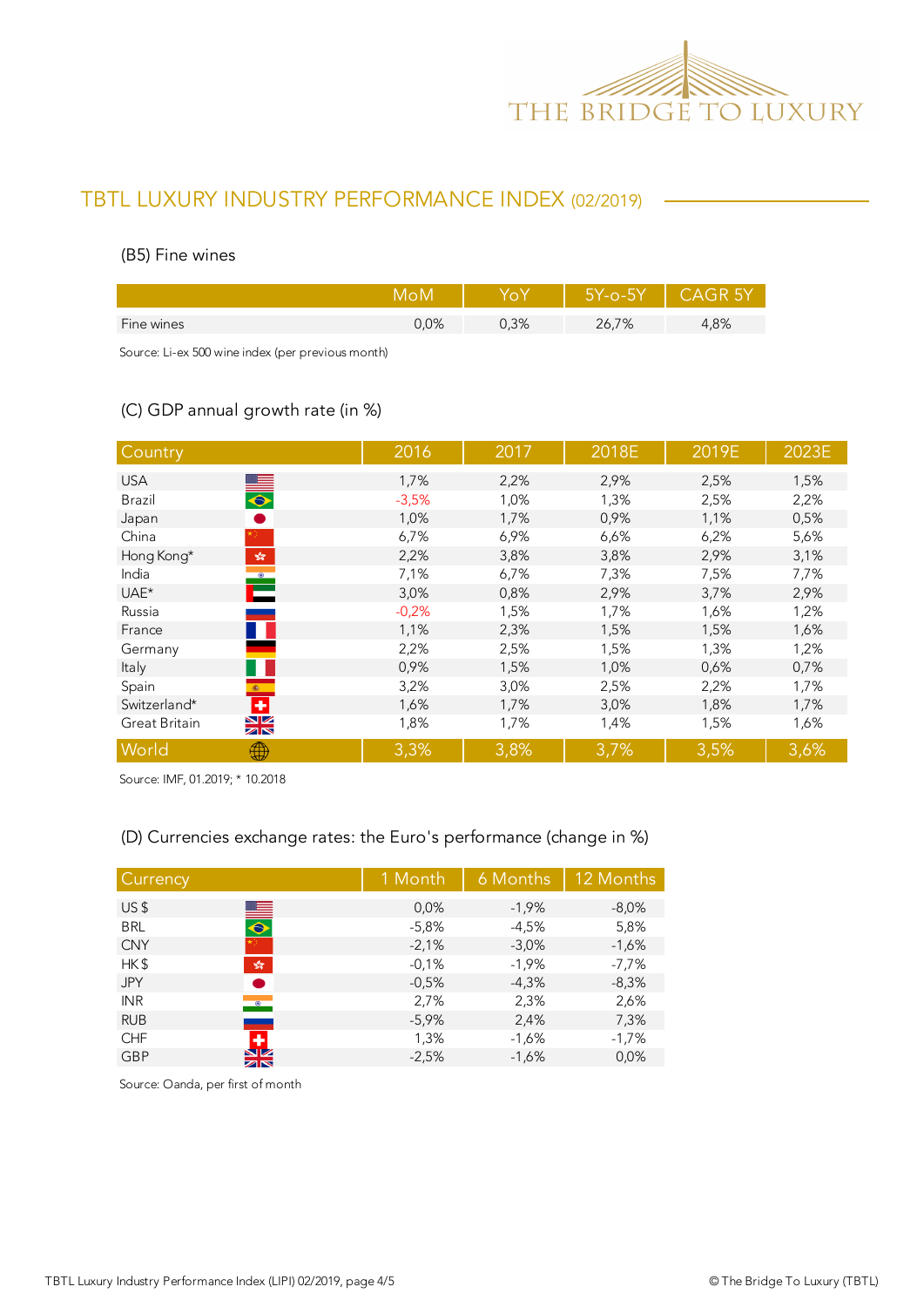

#### (B5) Fine wines

|            |      |      | 5Y-o-5Y | - CAGR 5Y |
|------------|------|------|---------|-----------|
| Fine wines | 0.0% | 0,3% | 26,7%   | 4,8%      |
|            |      |      |         |           |

Source: Li-ex 500 wine index (per previous month)

### (C) GDP annual growth rate (in %)

| Country                                                                             | 2016    | 2017 | 2018E | 2019E | 2023E |
|-------------------------------------------------------------------------------------|---------|------|-------|-------|-------|
| <b>USA</b>                                                                          | 1,7%    | 2,2% | 2,9%  | 2,5%  | 1,5%  |
| $\frac{1}{\sqrt{2}}$<br>Brazil                                                      | $-3,5%$ | 1,0% | 1,3%  | 2,5%  | 2,2%  |
| Japan                                                                               | 1,0%    | 1,7% | 0,9%  | 1,1%  | 0,5%  |
| China                                                                               | 6,7%    | 6,9% | 6,6%  | 6,2%  | 5,6%  |
| Hong Kong*<br>$\mathcal{P}^{\mathcal{S}^{\mathcal{S}}}_{\mathcal{S}^{\mathcal{S}}}$ | 2,2%    | 3,8% | 3,8%  | 2,9%  | 3,1%  |
| India                                                                               | 7,1%    | 6,7% | 7,3%  | 7,5%  | 7,7%  |
| Ě<br>UAE*                                                                           | 3,0%    | 0,8% | 2,9%  | 3,7%  | 2,9%  |
| Russia                                                                              | $-0,2%$ | 1,5% | 1,7%  | 1,6%  | 1,2%  |
| France                                                                              | 1,1%    | 2,3% | 1,5%  | 1,5%  | 1,6%  |
| Germany                                                                             | 2,2%    | 2,5% | 1,5%  | 1,3%  | 1,2%  |
| Italy                                                                               | 0,9%    | 1,5% | 1,0%  | 0,6%  | 0,7%  |
| Spain<br>$\langle \hat{\mathbf{x}} \rangle$ .                                       | 3,2%    | 3,0% | 2,5%  | 2,2%  | 1,7%  |
| ٠<br>Switzerland*                                                                   | 1,6%    | 1,7% | 3,0%  | 1,8%  | 1,7%  |
| $\frac{N}{N}$<br>Great Britain                                                      | 1,8%    | 1,7% | 1,4%  | 1,5%  | 1,6%  |
| World<br>₩                                                                          | 3,3%    | 3,8% | 3,7%  | 3,5%  | 3,6%  |

Source: IMF, 01.2019; \* 10.2018

### (D) Currencies exchange rates: the Euro's performance (change in %)

| Currency        |                              | 1 Month | 6 Months | 12 Months |
|-----------------|------------------------------|---------|----------|-----------|
| US <sub>5</sub> |                              | 0.0%    | $-1,9%$  | $-8,0%$   |
| <b>BRL</b>      | $\blacksquare$               | $-5,8%$ | $-4,5%$  | 5,8%      |
| <b>CNY</b>      |                              | $-2,1%$ | $-3,0%$  | $-1,6%$   |
| HK\$            | $\frac{\sqrt{3}}{2\sqrt{3}}$ | $-0,1%$ | $-1,9%$  | -7,7%     |
| <b>JPY</b>      | 8                            | $-0,5%$ | $-4,3%$  | $-8,3%$   |
| <b>INR</b>      | $\bullet$                    | 2,7%    | 2,3%     | 2,6%      |
| <b>RUB</b>      |                              | $-5,9%$ | 2,4%     | 7,3%      |
| <b>CHF</b>      | ٠                            | 1,3%    | $-1,6%$  | $-1,7%$   |
| <b>GBP</b>      | $\frac{N}{N}$                | $-2,5%$ | $-1,6%$  | 0,0%      |

Source: Oanda, per first of month